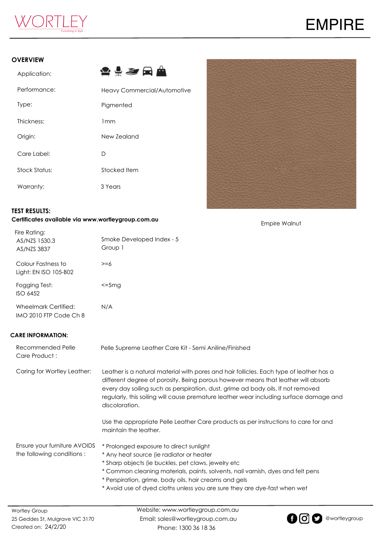

#### **OVERVIEW**

| Application:  | <b>≙≑<i>≋</i> ⊟ ≜</b>              |
|---------------|------------------------------------|
| Performance:  | <b>Heavy Commercial/Automotive</b> |
| Type:         | Pigmented                          |
| Thickness:    | 1mm                                |
| Origin:       | New Zealand                        |
| Care Label:   | D                                  |
| Stock Status: | Stocked Item                       |
| Warranty:     | 3 Years                            |



Empire Walnut

#### **TEST RESULTS:**

#### **Certificates available via www.wortleygroup.com.au**

| Fire Rating:<br>AS/NZS 1530.3<br>AS/NZS 3837   | Smoke Developed Index - 5<br>Group 1 |
|------------------------------------------------|--------------------------------------|
| Colour Fastness to<br>Light: EN ISO 105-B02    | >=6                                  |
| Fogging Test:<br>$ISO$ 6452                    | <=5ma                                |
| Wheelmark Certified:<br>IMO 2010 FTP Code Ch 8 | N/A                                  |

### **CARE INFORMATION:**

| <b>Wortley Group</b>                                      | Website: www.wortleygroup.com, au                                                                                                                                                                                                                                                                                                                                            |
|-----------------------------------------------------------|------------------------------------------------------------------------------------------------------------------------------------------------------------------------------------------------------------------------------------------------------------------------------------------------------------------------------------------------------------------------------|
| Ensure your furniture AVOIDS<br>the following conditions: | * Prolonged exposure to direct sunlight<br>* Any heat source (ie radiator or heater<br>* Sharp objects (ie buckles, pet claws, jewelry etc<br>* Common cleaning materials, paints, solvents, nail varnish, dyes and felt pens<br>* Perspiration, grime, body oils, hair creams and gels<br>* Avoid use of dyed cloths unless you are sure they are dye-fast when wet         |
|                                                           | Use the appropriate Pelle Leather Care products as per instructions to care for and<br>maintain the leather.                                                                                                                                                                                                                                                                 |
| Caring for Wortley Leather:                               | Leather is a natural material with pores and hair follicles. Each type of leather has a<br>different degree of porosity. Being porous however means that leather will absorb<br>every day soiling such as perspiration, dust, grime ad body oils. If not removed<br>regularly, this soiling will cause premature leather wear including surface damage and<br>discoloration. |
| Recommended Pelle<br>Care Product:                        | Pelle Supreme Leather Care Kit - Semi Aniline/Finished                                                                                                                                                                                                                                                                                                                       |